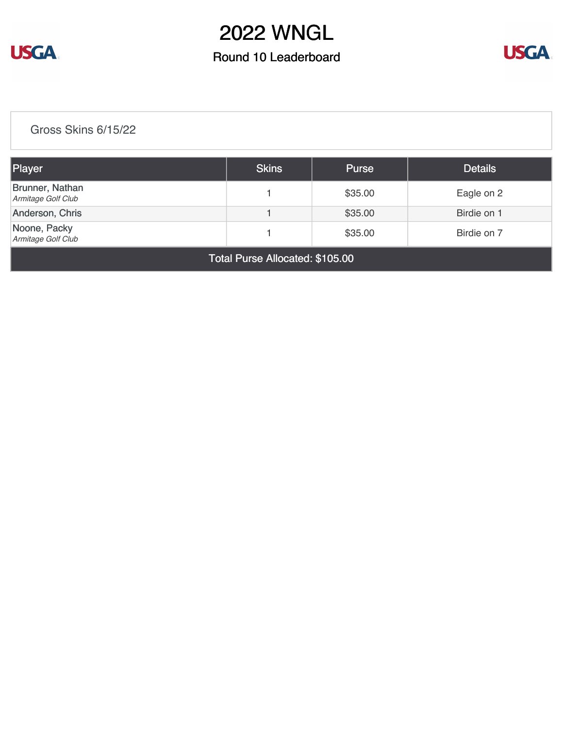

### Round 10 Leaderboard



[Gross Skins 6/15/22](https://static.golfgenius.com/v2tournaments/8293917536777450177?called_from=&round_index=10)

| <b>Player</b>                                                | <b>Skins</b> | <b>Purse</b> | <b>Details</b> |  |  |
|--------------------------------------------------------------|--------------|--------------|----------------|--|--|
| Brunner, Nathan<br>Armitage Golf Club                        |              | \$35.00      | Eagle on 2     |  |  |
| Anderson, Chris                                              |              | \$35.00      | Birdie on 1    |  |  |
| Noone, Packy<br>\$35.00<br>Birdie on 7<br>Armitage Golf Club |              |              |                |  |  |
| Total Purse Allocated: \$105.00                              |              |              |                |  |  |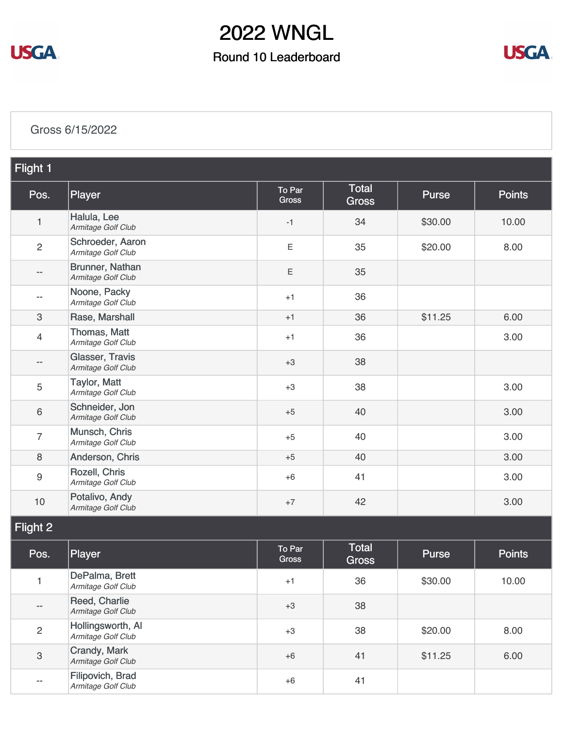

Round 10 Leaderboard



#### [Gross 6/15/2022](https://static.golfgenius.com/v2tournaments/8580903271336555091?called_from=&round_index=10)

| Flight 1                 |                                           |                        |                              |              |               |  |
|--------------------------|-------------------------------------------|------------------------|------------------------------|--------------|---------------|--|
| Pos.                     | Player                                    | To Par<br><b>Gross</b> | <b>Total</b><br><b>Gross</b> | Purse        | <b>Points</b> |  |
| $\mathbf{1}$             | Halula, Lee<br>Armitage Golf Club         | $-1$                   | 34                           | \$30.00      | 10.00         |  |
| $\overline{c}$           | Schroeder, Aaron<br>Armitage Golf Club    | $\mathsf E$            | 35                           | \$20.00      | 8.00          |  |
| $\qquad \qquad -$        | Brunner, Nathan<br>Armitage Golf Club     | $\mathsf E$            | 35                           |              |               |  |
| $- -$                    | Noone, Packy<br>Armitage Golf Club        | $+1$                   | 36                           |              |               |  |
| 3                        | Rase, Marshall                            | $+1$                   | 36                           | \$11.25      | 6.00          |  |
| $\overline{4}$           | Thomas, Matt<br>Armitage Golf Club        | $+1$                   | 36                           |              | 3.00          |  |
|                          | Glasser, Travis<br>Armitage Golf Club     | $+3$                   | 38                           |              |               |  |
| 5                        | <b>Taylor, Matt</b><br>Armitage Golf Club | $+3$                   | 38                           |              | 3.00          |  |
| 6                        | Schneider, Jon<br>Armitage Golf Club      | $+5$                   | 40                           |              | 3.00          |  |
| $\overline{7}$           | Munsch, Chris<br>Armitage Golf Club       | $+5$                   | 40                           |              | 3.00          |  |
| 8                        | Anderson, Chris                           | $+5$                   | 40                           |              | 3.00          |  |
| 9                        | Rozell, Chris<br>Armitage Golf Club       | $+6$                   | 41                           |              | 3.00          |  |
| $10$                     | Potalivo, Andy<br>Armitage Golf Club      | $+7$                   | 42                           |              | 3.00          |  |
| Flight 2                 |                                           |                        |                              |              |               |  |
| Pos.                     | Player                                    | To Par<br>Gross        | <b>Total</b><br><b>Gross</b> | <b>Purse</b> | <b>Points</b> |  |
| $\mathbf{1}$             | DePalma, Brett<br>Armitage Golf Club      | $+1$                   | 36                           | \$30.00      | 10.00         |  |
| --                       | Reed, Charlie<br>Armitage Golf Club       | $+3$                   | 38                           |              |               |  |
| $\overline{c}$           | Hollingsworth, Al<br>Armitage Golf Club   | $+3$                   | 38                           | \$20.00      | 8.00          |  |
| 3                        | Crandy, Mark<br>Armitage Golf Club        | $+6$                   | 41                           | \$11.25      | 6.00          |  |
| $\overline{\phantom{a}}$ | Filipovich, Brad<br>Armitage Golf Club    | $+6$                   | 41                           |              |               |  |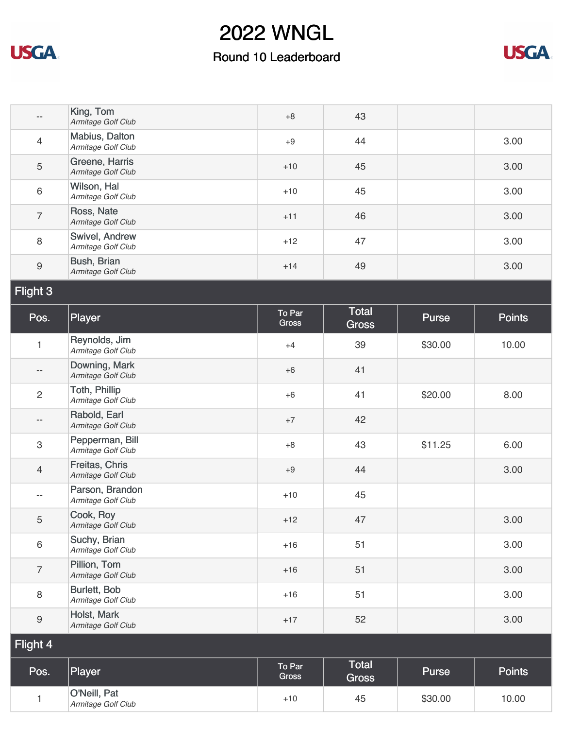

### Round 10 Leaderboard



| $-$              | King, Tom<br>Armitage Golf Club       | $+8$                   | 43                    |              |               |
|------------------|---------------------------------------|------------------------|-----------------------|--------------|---------------|
| $\overline{4}$   | Mabius, Dalton<br>Armitage Golf Club  | $+9$                   | 44                    |              | 3.00          |
| 5                | Greene, Harris<br>Armitage Golf Club  | $+10$                  | 45                    |              | 3.00          |
| 6                | Wilson, Hal<br>Armitage Golf Club     | $+10$                  | 45                    |              | 3.00          |
| $\overline{7}$   | Ross, Nate<br>Armitage Golf Club      | $+11$                  | 46                    |              | 3.00          |
| 8                | Swivel, Andrew<br>Armitage Golf Club  | $+12$                  | 47                    |              | 3.00          |
| $\boldsymbol{9}$ | Bush, Brian<br>Armitage Golf Club     | $+14$                  | 49                    |              | 3.00          |
| Flight 3         |                                       |                        |                       |              |               |
| Pos.             | Player                                | To Par<br><b>Gross</b> | Total<br><b>Gross</b> | <b>Purse</b> | <b>Points</b> |
| 1                | Reynolds, Jim<br>Armitage Golf Club   | $+4$                   | 39                    | \$30.00      | 10.00         |
| $-\, -$          | Downing, Mark<br>Armitage Golf Club   | $+6$                   | 41                    |              |               |
| $\overline{c}$   | Toth, Phillip<br>Armitage Golf Club   | $+6$                   | 41                    | \$20.00      | 8.00          |
| $-\!$ $\!-$      | Rabold, Earl<br>Armitage Golf Club    | $+7$                   | 42                    |              |               |
| $\,3$            | Pepperman, Bill<br>Armitage Golf Club | $+8$                   | 43                    | \$11.25      | 6.00          |
| $\overline{4}$   | Freitas, Chris<br>Armitage Golf Club  | $+9$                   | 44                    |              | 3.00          |
| $-$              | Parson, Brandon<br>Armitage Golf Club | $+10$                  | 45                    |              |               |
| 5                | Cook, Roy<br>Armitage Golf Club       | $+12$                  | 47                    |              | 3.00          |
| 6                | Suchy, Brian<br>Armitage Golf Club    | $+16$                  | 51                    |              | 3.00          |
| $\overline{7}$   | Pillion, Tom<br>Armitage Golf Club    | $+16$                  | 51                    |              | 3.00          |
| 8                | Burlett, Bob<br>Armitage Golf Club    | $+16$                  | 51                    |              | 3.00          |
| $\boldsymbol{9}$ | Holst, Mark<br>Armitage Golf Club     | $+17$                  | 52                    |              | 3.00          |
| Flight 4         |                                       |                        |                       |              |               |
| Pos.             | Player                                | To Par<br>Gross        | Total<br><b>Gross</b> | Purse        | <b>Points</b> |
| 1                | O'Neill, Pat<br>Armitage Golf Club    | $+10$                  | 45                    | \$30.00      | 10.00         |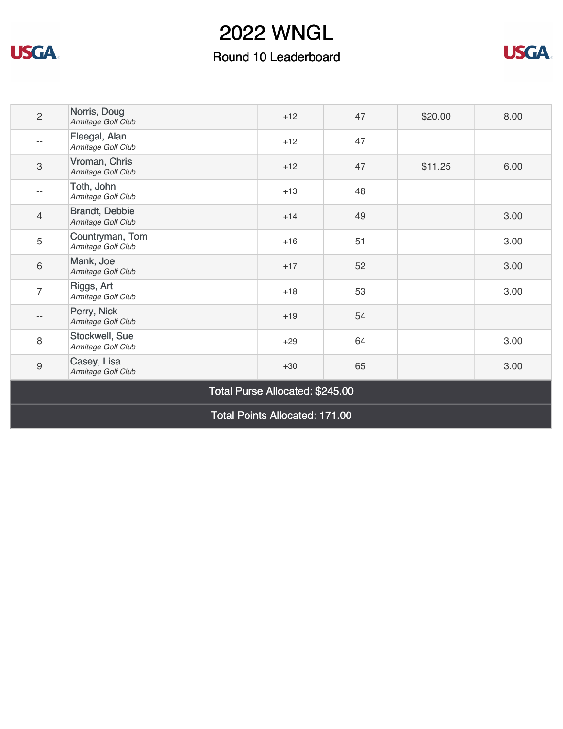

### Round 10 Leaderboard



| $\overline{2}$                        | Norris, Doug<br>Armitage Golf Club    | $+12$ | 47 | \$20.00 | 8.00 |
|---------------------------------------|---------------------------------------|-------|----|---------|------|
| $-$                                   | Fleegal, Alan<br>Armitage Golf Club   | $+12$ | 47 |         |      |
| $\mathfrak{S}$                        | Vroman, Chris<br>Armitage Golf Club   | $+12$ | 47 | \$11.25 | 6.00 |
| --                                    | Toth, John<br>Armitage Golf Club      | $+13$ | 48 |         |      |
| $\overline{4}$                        | Brandt, Debbie<br>Armitage Golf Club  | $+14$ | 49 |         | 3.00 |
| 5                                     | Countryman, Tom<br>Armitage Golf Club | $+16$ | 51 |         | 3.00 |
| $6\,$                                 | Mank, Joe<br>Armitage Golf Club       | $+17$ | 52 |         | 3.00 |
| $\overline{7}$                        | Riggs, Art<br>Armitage Golf Club      | $+18$ | 53 |         | 3.00 |
| $- -$                                 | Perry, Nick<br>Armitage Golf Club     | $+19$ | 54 |         |      |
| 8                                     | Stockwell, Sue<br>Armitage Golf Club  | $+29$ | 64 |         | 3.00 |
| $\boldsymbol{9}$                      | Casey, Lisa<br>Armitage Golf Club     | $+30$ | 65 |         | 3.00 |
| Total Purse Allocated: \$245.00       |                                       |       |    |         |      |
| <b>Total Points Allocated: 171.00</b> |                                       |       |    |         |      |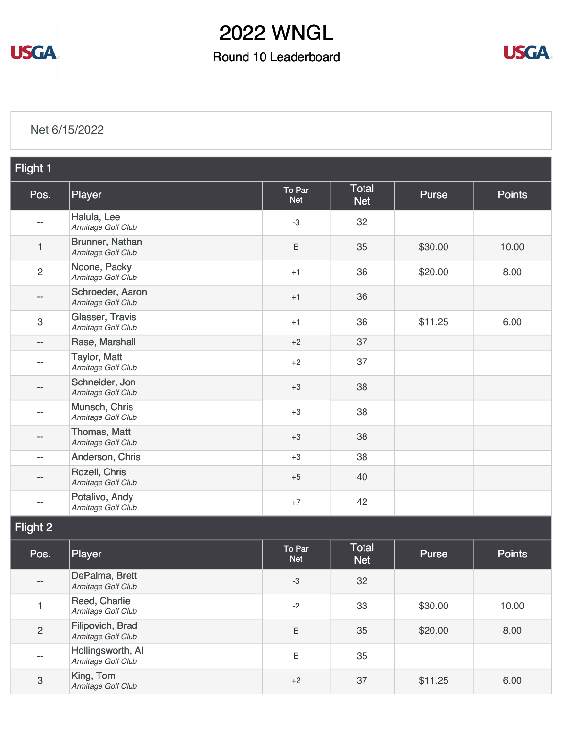

#### Round 10 Leaderboard



#### [Net 6/15/2022](https://static.golfgenius.com/v2tournaments/8580903274624889428?called_from=&round_index=10)

| Flight 1                  |                                         |                      |                            |              |               |  |
|---------------------------|-----------------------------------------|----------------------|----------------------------|--------------|---------------|--|
| Pos.                      | Player                                  | To Par<br><b>Net</b> | <b>Total</b><br><b>Net</b> | Purse        | <b>Points</b> |  |
| $-$                       | Halula, Lee<br>Armitage Golf Club       | $-3$                 | 32                         |              |               |  |
| $\mathbf{1}$              | Brunner, Nathan<br>Armitage Golf Club   | $\mathsf E$          | 35                         | \$30.00      | 10.00         |  |
| $\overline{2}$            | Noone, Packy<br>Armitage Golf Club      | $+1$                 | 36                         | \$20.00      | 8.00          |  |
| --                        | Schroeder, Aaron<br>Armitage Golf Club  | $+1$                 | 36                         |              |               |  |
| $\ensuremath{\mathsf{3}}$ | Glasser, Travis<br>Armitage Golf Club   | $+1$                 | 36                         | \$11.25      | 6.00          |  |
| $\overline{\phantom{a}}$  | Rase, Marshall                          | $+2$                 | 37                         |              |               |  |
| --                        | Taylor, Matt<br>Armitage Golf Club      | $+2$                 | 37                         |              |               |  |
| $\qquad \qquad -$         | Schneider, Jon<br>Armitage Golf Club    | $+3$                 | 38                         |              |               |  |
| $- -$                     | Munsch, Chris<br>Armitage Golf Club     | $+3$                 | 38                         |              |               |  |
| $\qquad \qquad -$         | Thomas, Matt<br>Armitage Golf Club      | $+3$                 | 38                         |              |               |  |
| $\overline{\phantom{m}}$  | Anderson, Chris                         | $+3$                 | 38                         |              |               |  |
| $\qquad \qquad -$         | Rozell, Chris<br>Armitage Golf Club     | $+5$                 | 40                         |              |               |  |
|                           | Potalivo, Andy<br>Armitage Golf Club    | $+7$                 | 42                         |              |               |  |
| Flight 2                  |                                         |                      |                            |              |               |  |
| Pos.                      | Player                                  | To Par<br><b>Net</b> | <b>Total</b><br><b>Net</b> | <b>Purse</b> | <b>Points</b> |  |
| --                        | DePalma, Brett<br>Armitage Golf Club    | $-3$                 | 32                         |              |               |  |
| $\mathbf{1}$              | Reed, Charlie<br>Armitage Golf Club     | $-2$                 | 33                         | \$30.00      | 10.00         |  |
| $\mathbf{2}$              | Filipovich, Brad<br>Armitage Golf Club  | $\mathsf E$          | 35                         | \$20.00      | 8.00          |  |
| --                        | Hollingsworth, Al<br>Armitage Golf Club | $\mathsf E$          | 35                         |              |               |  |
| $\ensuremath{\mathsf{3}}$ | King, Tom<br>Armitage Golf Club         | $+2$                 | 37                         | \$11.25      | 6.00          |  |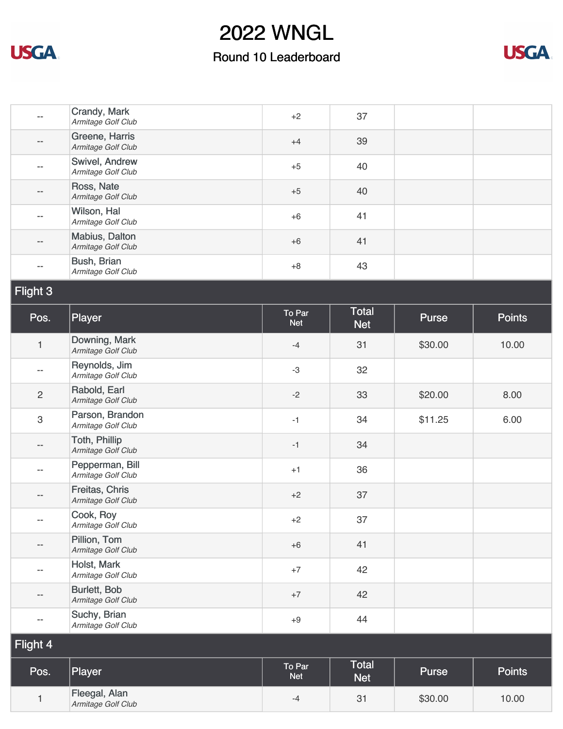

### Round 10 Leaderboard



| $- -$        | Crandy, Mark<br>Armitage Golf Club    | $+2$                 | 37                         |              |               |
|--------------|---------------------------------------|----------------------|----------------------------|--------------|---------------|
| --           | Greene, Harris<br>Armitage Golf Club  | $+4$                 | 39                         |              |               |
| --           | Swivel, Andrew<br>Armitage Golf Club  | $+5$                 | 40                         |              |               |
| $- -$        | Ross, Nate<br>Armitage Golf Club      | $+5$                 | 40                         |              |               |
| $-$          | Wilson, Hal<br>Armitage Golf Club     | $+6$                 | 41                         |              |               |
| --           | Mabius, Dalton<br>Armitage Golf Club  | $+6$                 | 41                         |              |               |
|              | Bush, Brian<br>Armitage Golf Club     | $+8$                 | 43                         |              |               |
| Flight 3     |                                       |                      |                            |              |               |
| Pos.         | Player                                | To Par<br><b>Net</b> | <b>Total</b><br><b>Net</b> | <b>Purse</b> | <b>Points</b> |
| $\mathbf{1}$ | Downing, Mark<br>Armitage Golf Club   | $-4$                 | 31                         | \$30.00      | 10.00         |
| $- -$        | Reynolds, Jim<br>Armitage Golf Club   | $-3$                 | 32                         |              |               |
| $\mathbf{2}$ | Rabold, Earl<br>Armitage Golf Club    | $-2$                 | 33                         | \$20.00      | 8.00          |
| 3            | Parson, Brandon<br>Armitage Golf Club | $-1$                 | 34                         | \$11.25      | 6.00          |
| --           | Toth, Phillip<br>Armitage Golf Club   | $-1$                 | 34                         |              |               |
| --           | Pepperman, Bill<br>Armitage Golf Club | $+1$                 | 36                         |              |               |
| --           | Freitas, Chris<br>Armitage Golf Club  | $+2$                 | 37                         |              |               |
| $- -$        | Cook, Roy<br>Armitage Golf Club       | $+2$                 | 37                         |              |               |
| --           | Pillion, Tom<br>Armitage Golf Club    | $+6$                 | 41                         |              |               |
| $- -$        | Holst, Mark<br>Armitage Golf Club     | $+7$                 | 42                         |              |               |
| --           | Burlett, Bob<br>Armitage Golf Club    | $+7$                 | 42                         |              |               |
|              | Suchy, Brian<br>Armitage Golf Club    | $+9$                 | 44                         |              |               |
| Flight 4     |                                       |                      |                            |              |               |
| Pos.         | Player                                | To Par<br><b>Net</b> | Total<br><b>Net</b>        | Purse        | <b>Points</b> |
| $\mathbf{1}$ | Fleegal, Alan<br>Armitage Golf Club   | $-4$                 | 31                         | \$30.00      | 10.00         |